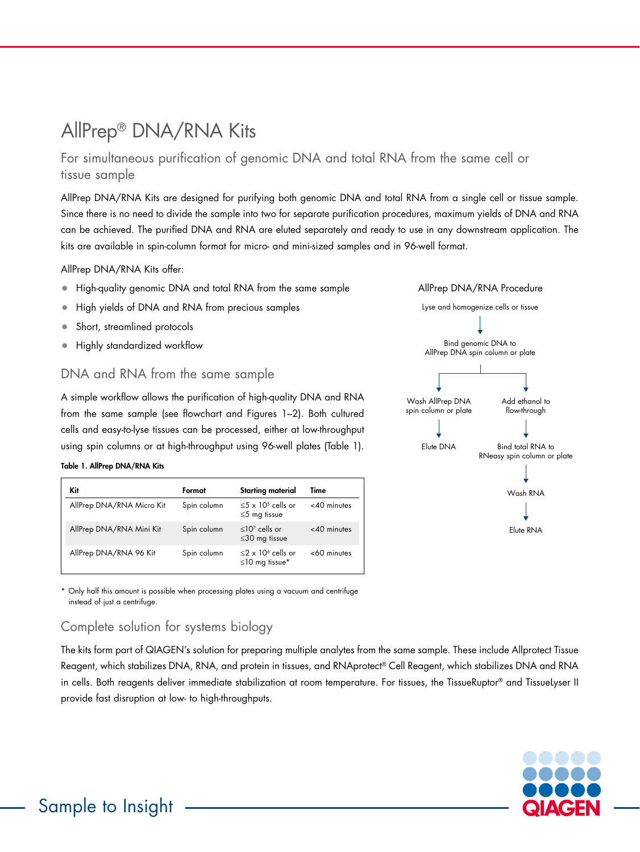# AllPrep® DNA/RNA Kits

# For simultaneous purification of genomic DNA and total RNA from the same cell or tissue sample

AllPrep DNA/RNA Kits are designed for purifying both genomic DNA and total RNA from a single cell or tissue sample. Since there is no need to divide the sample into two for separate purification procedures, maximum yields of DNA and RNA can be achieved. The purified DNA and RNA are eluted separately and ready to use in any downstream application. The kits are available in spin-column format for micro- and mini-sized samples and in 96-well format.

AllPrep DNA/RNA Kits offer:

- High-quality genomic DNA and total RNA from the same sample
- High yields of DNA and RNA from precious samples
- Short, streamlined protocols
- Highly standardized workflow

### DNA and RNA from the same sample

A simple workflow allows the purification of high-quality DNA and RNA from the same sample (see flowchart and Figures 1–2). Both cultured cells and easy-to-lyse tissues can be processed, either at low-throughput using spin columns or at high-throughput using 96-well plates (Table 1).

#### Table 1. AllPrep DNA/RNA Kits

| <b>Kit</b>                | Format      | <b>Starting material</b>                                    | Time           |
|---------------------------|-------------|-------------------------------------------------------------|----------------|
| AllPrep DNA/RNA Micro Kit | Spin column | $\leq$ 5 x 10 <sup>5</sup> cells or<br>$\leq$ 5 mg tissue   | $<$ 40 minutes |
| AllPrep DNA/RNA Mini Kit  | Spin column | $\leq 10^7$ cells or<br>$\leq$ 30 mg tissue                 | $<$ 40 minutes |
| AllPrep DNA/RNA 96 Kit    | Spin column | $\leq$ 2 x 10 <sup>6</sup> cells or<br>$\leq$ 10 mg tissue* | $<$ 60 minutes |

\* Only half this amount is possible when processing plates using a vacuum and centrifuge instead of just a centrifuge.

# Complete solution for systems biology

The kits form part of QIAGEN's solution for preparing multiple analytes from the same sample. These include Allprotect Tissue Reagent, which stabilizes DNA, RNA, and protein in tissues, and RNAprotect® Cell Reagent, which stabilizes DNA and RNA in cells. Both reagents deliver immediate stabilization at room temperature. For tissues, the TissueRuptor® and TissueLyser II provide fast disruption at low- to high-throughputs.





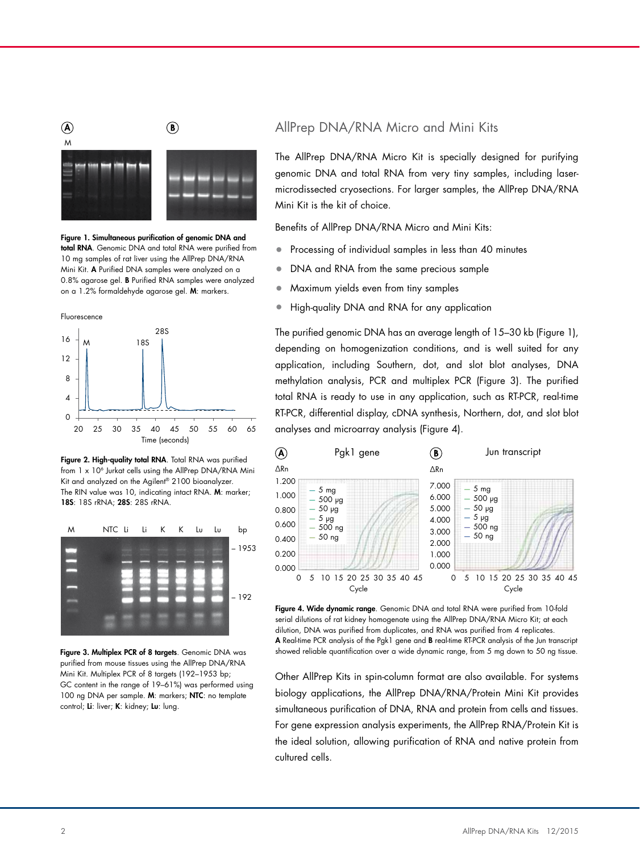

Figure 1. Simultaneous purification of genomic DNA and total RNA. Genomic DNA and total RNA were purified from 10 mg samples of rat liver using the AllPrep DNA/RNA Mini Kit. A Purified DNA samples were analyzed on a 0.8% agarose gel. B Purified RNA samples were analyzed on a 1.2% formaldehyde agarose gel. M: markers.



Figure 2. High-quality total RNA. Total RNA was purified from 1 x 10<sup>6</sup> Jurkat cells using the AllPrep DNA/RNA Mini Kit and analyzed on the Agilent® 2100 bioanalyzer. The RIN value was 10, indicating intact RNA. M: marker; 18S: 18S rRNA; 28S: 28S rRNA.



Figure 3. Multiplex PCR of 8 targets. Genomic DNA was purified from mouse tissues using the AllPrep DNA/RNA Mini Kit. Multiplex PCR of 8 targets (192–1953 bp; GC content in the range of 19–61%) was performed using 100 ng DNA per sample. M: markers; NTC: no template control; Li: liver; K: kidney; Lu: lung.

## AllPrep DNA/RNA Micro and Mini Kits

The AllPrep DNA/RNA Micro Kit is specially designed for purifying genomic DNA and total RNA from very tiny samples, including lasermicrodissected cryosections. For larger samples, the AllPrep DNA/RNA Mini Kit is the kit of choice.

Benefits of AllPrep DNA/RNA Micro and Mini Kits:

- Processing of individual samples in less than 40 minutes
- DNA and RNA from the same precious sample
- Maximum yields even from tiny samples
- High-quality DNA and RNA for any application

The purified genomic DNA has an average length of 15–30 kb (Figure 1), depending on homogenization conditions, and is well suited for any .<br>application, including Southern, dot, and slot blot analyses, DNA methylation analysis, PCR and multiplex PCR (Figure 3). The purified total RNA is ready to use in any application, such as RT-PCR, real-time RT-PCR, differential display, cDNA synthesis, Northern, dot, and slot blot analyses and microarray analysis (Figure 4). . .g... ت slot bl  $\overline{1}$  s, in volument, you, you stor blo



Figure 4. Wide dynamic range. Genomic DNA and total RNA were purified from 10-fold Tigue 4: Whe dynamic range: Oenomic DTVA and fold KTA were purified nom TO-lold<br>serial dilutions of rat kidney homogenate using the AllPrep DNA/RNA Micro Kit; at each dilution, DNA was purified from duplicates, and RNA was purified from 4 replicates. ∆Rn A Real-time PCR analysis of the Pgk1 gene and B real-time RT-PCR analysis of the Jun transcript showed reliable quantification over a wide dynamic range, from 5 mg down to 50 ng tissue.

Other AllPrep Kits in spin-column format are also available. For systems biology applications, the AllPrep DNA/RNA/Protein Mini Kit provides simultaneous purification of DNA, RNA and protein from cells and tissues. For gene expression analysis experiments, the AllPrep RNA/Protein Kit is the ideal solution, allowing purification of RNA and native protein from cultured cells.  $\sim$  $\frac{1}{10}$   $\frac{1}{10}$ urrep, applice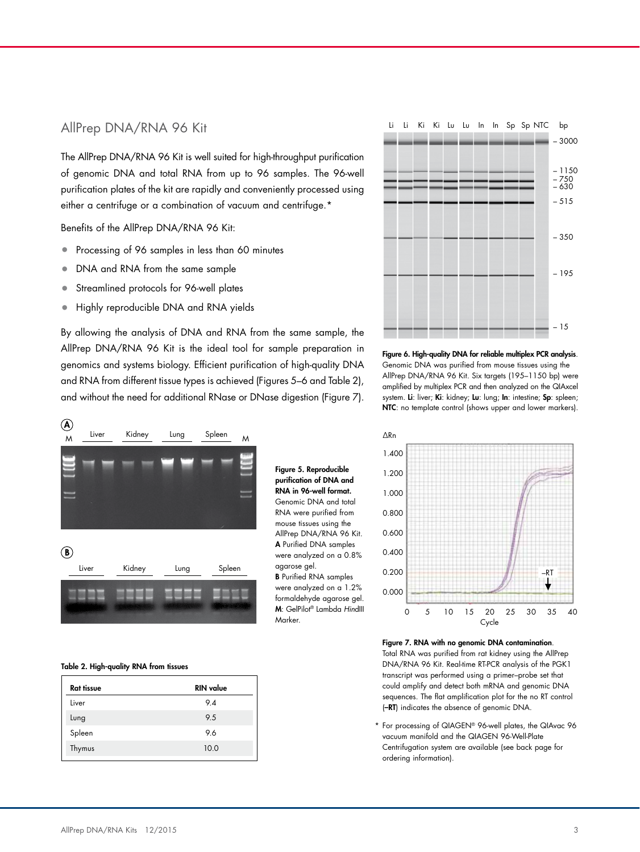### AllPrep DNA/RNA 96 Kit

The AllPrep DNA/RNA 96 Kit is well suited for high-throughput purification of genomic DNA and total RNA from up to 96 samples. The 96-well purification plates of the kit are rapidly and conveniently processed using either a centrifuge or a combination of vacuum and centrifuge.\*

Benefits of the AllPrep DNA/RNA 96 Kit:

- Processing of 96 samples in less than 60 minutes
- DNA and RNA from the same sample
- Streamlined protocols for 96-well plates
- Highly reproducible DNA and RNA yields

By allowing the analysis of DNA and RNA from the same sample, the AllPrep DNA/RNA 96 Kit is the ideal tool for sample preparation in genomics and systems biology. Efficient purification of high-quality DNA and RNA from different tissue types is achieved (Figures 5–6 and Table 2), and without the need for additional RNase or DNase digestion (Figure 7).

> Figure 5. Reproducible purification of DNA and RNA in 96-well format. Genomic DNA and total RNA were purified from mouse tissues using the AllPrep DNA/RNA 96 Kit. A Purified DNA samples were analyzed on a 0.8%

agarose gel. B Purified RNA samples were analyzed on a 1.2% formaldehyde agarose gel. M: GelPilot® Lambda *Hin*dIII

Marker.



#### Table 2. High-quality RNA from tissues

| <b>Rat tissue</b> | <b>RIN</b> value |
|-------------------|------------------|
| Liver             | 9.4              |
| Lung              | 9.5              |
| Spleen            | 9.6              |
| Thymus            | 10.0             |
|                   |                  |



Figure 6. High-quality DNA for reliable multiplex PCR analysis. Genomic DNA was purified from mouse tissues using the AllPrep DNA/RNA 96 Kit. Six targets (195–1150 bp) were amplified by multiplex PCR and then analyzed on the QIAxcel system. Li: liver; Ki: kidney; Lu: lung; In: intestine; Sp: spleen; NTC: no template control (shows upper and lower markers).



Figure 7. RNA with no genomic DNA contamination. Total RNA was purified from rat kidney using the AllPrep DNA/RNA 96 Kit. Real-time RT-PCR analysis of the PGK1 transcript was performed using a primer–probe set that could amplify and detect both mRNA and genomic DNA sequences. The flat amplification plot for the no RT control (–RT) indicates the absence of genomic DNA.

For processing of QIAGEN® 96-well plates, the QIAvac 96 vacuum manifold and the QIAGEN 96-Well-Plate Centrifugation system are available (see back page for ordering information).